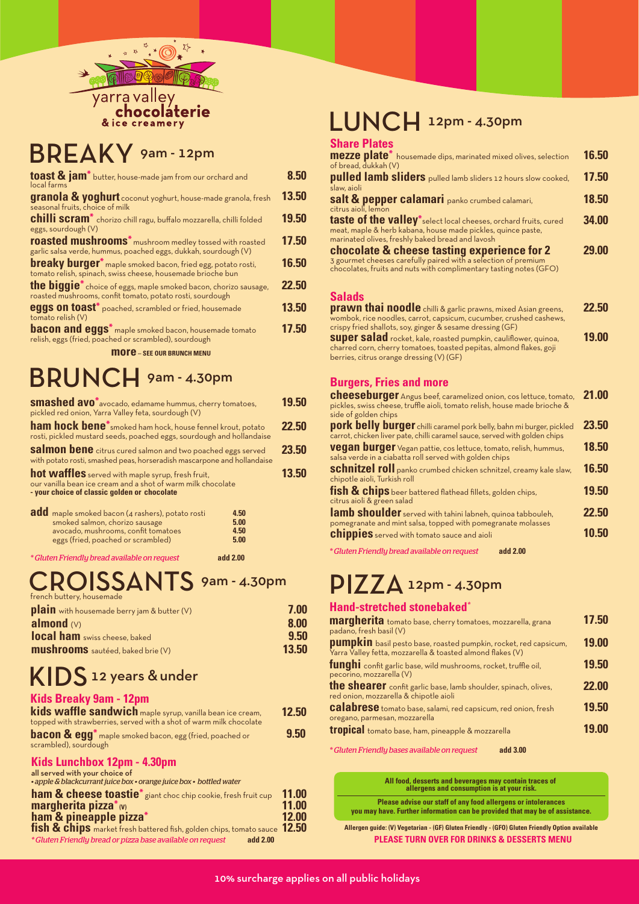

# BREAKY 9am - 12pm

| toast & jam <sup>*</sup> butter, house-made jam from our orchard and<br>local farms                                                           | 8.50  |
|-----------------------------------------------------------------------------------------------------------------------------------------------|-------|
| granola & yoghurt coconut yoghurt, house-made granola, fresh<br>seasonal fruits, choice of milk                                               | 13.50 |
| <b>chilli scram</b> <sup>*</sup> chorizo chill ragu, buffalo mozzarella, chilli folded<br>eggs, sourdough (V)                                 | 19.50 |
| roasted mushrooms* mushroom medley tossed with roasted<br>garlic salsa verde, hummus, poached eggs, dukkah, sourdough (V)                     | 17.50 |
| <b>breaky burger</b> <sup>*</sup> maple smoked bacon, fried egg, potato rosti,<br>tomato relish, spinach, swiss cheese, housemade brioche bun | 16.50 |
| the biggie <sup>*</sup> choice of eggs, maple smoked bacon, chorizo sausage,<br>roasted mushrooms, confit tomato, potato rosti, sourdough     | 22.50 |
| <b>eggs on toast</b> * poached, scrambled or fried, housemade<br>tomato relish (V)                                                            | 13.50 |
| <b>bacon and eggs</b> <sup>*</sup> maple smoked bacon, housemade tomato<br>relish, eggs (fried, poached or scrambled), sourdough              | 17.50 |
| <b>MOTE</b> - SEE OUR BRUNCH MENU                                                                                                             |       |

# BRUNCH 9am - 4.30pm

| <b>smashed avo</b> <sup>*</sup> avocado, edamame hummus, cherry tomatoes,<br>pickled red onion, Yarra Valley feta, sourdough (V)                                                                | 19.50 |
|-------------------------------------------------------------------------------------------------------------------------------------------------------------------------------------------------|-------|
| <b>ham hock bene</b> <sup>*</sup> smoked ham hock, house fennel krout, potato<br>rosti, pickled mustard seeds, poached eggs, sourdough and hollandaise                                          | 22.50 |
| <b>salmon bene</b> citrus cured salmon and two poached eggs served<br>with potato rosti, smashed peas, horseradish mascarpone and hollandaise                                                   | 23.50 |
| hot waffles served with maple syrup, fresh fruit,<br>our vanilla bean ice cream and a shot of warm milk chocolate<br>- your choice of classic golden or chocolate                               | 13.50 |
| add maple smoked bacon (4 rashers), potato rosti<br>4.50<br>smoked salmon, chorizo sausage<br>5.00<br>avocado, mushrooms, confit tomatoes<br>4.50<br>eggs (fried, poached or scrambled)<br>5.00 |       |

*\* Gluten Friendly bread available on request* **add 2.00**

# CROISSANTS 9am - 4.30pm

| <u>Hench Battery, Housemage</u>                    |       |
|----------------------------------------------------|-------|
| <b>plain</b> with housemade berry jam & butter (V) | 7.00  |
| almond $(V)$                                       | 8.00  |
| local ham swiss cheese, baked                      | 9.50  |
| <b>mushrooms</b> sautéed, baked brie (V)           | 13.50 |
|                                                    |       |

### KIDS 12 years & under

### **Kids Breaky 9am - 12pm**

| kids waffle sandwich maple syrup, vanilla bean ice cream,<br>topped with strawberries, served with a shot of warm milk chocolate        | 12.50          |
|-----------------------------------------------------------------------------------------------------------------------------------------|----------------|
| <b>bacon &amp; egg</b> <sup>*</sup> maple smoked bacon, egg (fried, poached or<br>scrambled), sourdough                                 | 9.50           |
| Kids Lunchbox 12pm - 4.30pm<br>all served with your choice of<br>. apple & blackcurrant juice box . orange juice box . bottled water    |                |
| ham & cheese toastie <sup>*</sup> giant choc chip cookie, fresh fruit cup<br>margherita pizza $*_{(V)}$<br>ham & pineapple pizza* 12.00 | 11.00<br>11.00 |

**12.50 fish & chips** market fresh battered fish, golden chips, tomato sauce *\* Gluten Friendly bread or pizza base available on request* **add 2.00**

## LUNCH 12pm - 4.30pm

#### **Share Plates**

| mezze plate <sup>*</sup> housemade dips, marinated mixed olives, selection<br>of bread, dukkah (V)                                                                                                                 | 16.50 |
|--------------------------------------------------------------------------------------------------------------------------------------------------------------------------------------------------------------------|-------|
| pulled lamb sliders pulled lamb sliders 12 hours slow cooked,                                                                                                                                                      | 17.50 |
| slaw, aioli<br>Salt & pepper calamari panko crumbed calamari,                                                                                                                                                      | 18.50 |
| citrus aioli, lemon<br><b>taste of the valley</b> *select local cheeses, orchard fruits, cured<br>meat, maple & herb kabana, house made pickles, quince paste,<br>marinated olives, freshly baked bread and lavosh | 34.00 |
| chocolate & cheese tasting experience for 2<br>3 gourmet cheeses carefully paired with a selection of premium<br>chocolates, fruits and nuts with complimentary tasting notes (GFO)                                | 29,00 |
| <b>Salads</b><br><u>nyayya Akai naadla waxaa waxaa waxaa ku sha</u>                                                                                                                                                |       |

| <b>prawn thai noodle</b> chilli & garlic prawns, mixed Asian greens, | 22.50 |
|----------------------------------------------------------------------|-------|
| wombok, rice noodles, carrot, capsicum, cucumber, crushed cashews,   |       |
| crispy fried shallots, soy, ginger & sesame dressing (GF)            |       |
| Super salad rocket, kale, roasted pumpkin, cauliflower, quinoa,      | 19.00 |
| charred corn, cherry tomatoes, toasted pepitas, almond flakes, goji  |       |
| berries, citrus orange dressing (V) (GF)                             |       |

### **Burgers, Fries and more**

| <b>cheeseburger</b> Angus beef, caramelized onion, cos lettuce, tomato,<br>pickles, swiss cheese, truffle aioli, tomato relish, house made brioche &                       | 21.00 |
|----------------------------------------------------------------------------------------------------------------------------------------------------------------------------|-------|
| side of golden chips<br>pork belly burger chilli caramel pork belly, bahn mi burger, pickled<br>carrot, chicken liver pate, chilli caramel sauce, served with golden chips | 23.50 |
| vegan burger Vegan pattie, cos lettuce, tomato, relish, hummus,<br>salsa verde in a ciabatta roll served with golden chips                                                 | 18.50 |
| Schnitzel roll panko crumbed chicken schnitzel, creamy kale slaw,<br>chipotle aioli, Turkish roll                                                                          | 16.50 |
| fish & chips beer battered flathead fillets, golden chips,<br>citrus aioli & green salad                                                                                   | 19.50 |
| lamb shoulder served with tahini labneh, quinoa tabbouleh,<br>pomegranate and mint salsa, topped with pomegranate molasses                                                 | 22.50 |
| <b>chippies</b> served with tomato sauce and aioli                                                                                                                         | 10.50 |
| * Gluten Friendly bread available on request<br>add 2.00                                                                                                                   |       |

### PIZZA 12pm - 4.30pm

### **Hand-stretched stonebaked***\**

| margherita tomato base, cherry tomatoes, mozzarella, grana<br>padano, fresh basil (V)                                          | 17.50 |
|--------------------------------------------------------------------------------------------------------------------------------|-------|
| pumpkin basil pesto base, roasted pumpkin, rocket, red capsicum,<br>Varra Valley fetta, mozzarella & toasted almond flakes (V) | 19.00 |
| funghi confit garlic base, wild mushrooms, rocket, truffle oil,<br>pecorino, mozzarella (V)                                    | 19.50 |
| the shearer confit garlic base, lamb shoulder, spinach, olives,<br>red onion, mozzarella & chipotle aioli                      | 22.00 |
| calabrese tomato base, salami, red capsicum, red onion, fresh<br>oregano, parmesan, mozzarella                                 | 19.50 |
| tropical tomato base, ham, pineapple & mozzarella                                                                              | 19.00 |
|                                                                                                                                |       |

*\* Gluten Friendly bases available on request* **add 3.00**

| All food, desserts and beverages may contain traces of<br>allergens and consumption is at your risk.                                          |
|-----------------------------------------------------------------------------------------------------------------------------------------------|
| Please advise our staff of any food allergens or intolerances<br>you may have. Further information can be provided that may be of assistance. |
| Allergen guide: (V) Vegetarian - (GF) Gluten Friendly - (GFO) Gluten Friendly Option available                                                |
| <b>PLEASE TURN OVER FOR DRINKS &amp; DESSERTS MENU</b>                                                                                        |